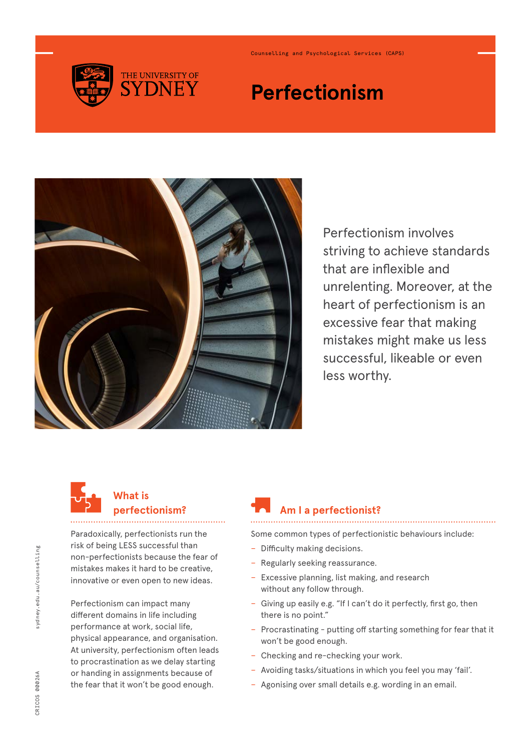

Counselling and Psychological Services (CAPS)

# **Perfectionism**



Perfectionism involves striving to achieve standards that are inflexible and unrelenting. Moreover, at the heart of perfectionism is an excessive fear that making mistakes might make us less successful, likeable or even less worthy.



### **What is perfectionism?**

Paradoxically, perfectionists run the risk of being LESS successful than non-perfectionists because the fear of mistakes makes it hard to be creative, innovative or even open to new ideas.

Perfectionism can impact many different domains in life including performance at work, social life, physical appearance, and organisation. At university, perfectionism often leads to procrastination as we delay starting or handing in assignments because of the fear that it won't be good enough.

## **Am I a perfectionist?**

Some common types of perfectionistic behaviours include:

- − Difficulty making decisions.
- − Regularly seeking reassurance.
- − Excessive planning, list making, and research without any follow through.
- − Giving up easily e.g. "If I can't do it perfectly, first go, then there is no point."
- − Procrastinating putting off starting something for fear that it won't be good enough.
- − Checking and re-checking your work.
- − Avoiding tasks/situations in which you feel you may 'fail'.
- − Agonising over small details e.g. wording in an email.